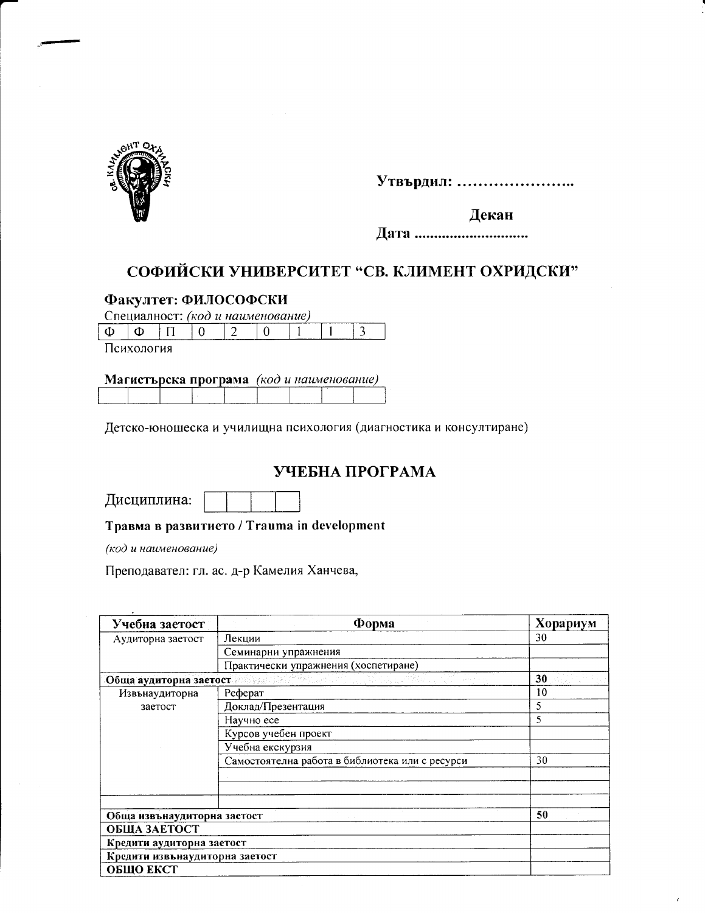

Утвърдил: ........................

Декан

Дата ................................

# СОФИЙСКИ УНИВЕРСИТЕТ "СВ. КЛИМЕНТ ОХРИДСКИ"

## Факултет: ФИЛОСОФСКИ

Специалност: (код и наименование)

|         |  |  |  | ------------ |
|---------|--|--|--|--------------|
| _______ |  |  |  | --           |
|         |  |  |  |              |

Психология

#### Магистърска програма (код и наименование)

Детско-юношеска и училищна психология (диагностика и консултиране)

# УЧЕБНА ПРОГРАМА

Травма в развитието / Trauma in development

(код и наименование)

Преподавател: гл. ас. д-р Камелия Ханчева,

| Учебна заетост                 | $\Phi$ opma                                     | Хорариум |
|--------------------------------|-------------------------------------------------|----------|
| Аудиторна заетост              | Лекции                                          | 30       |
|                                | Семинарни упражнения                            |          |
|                                | Практически упражнения (хоспетиране)            |          |
| Обща аудиторна заетост         | tikila) (d. A. A                                | 30       |
| Извънаудиторна                 | Реферат                                         | 10       |
| заетост                        | Доклад/Презентация                              | 5        |
|                                | Научно есе                                      | 5        |
|                                | Курсов учебен проект                            |          |
|                                | Учебна екскурзия                                |          |
|                                | Самостоятелна работа в библиотека или с ресурси | 30       |
|                                |                                                 |          |
|                                |                                                 |          |
|                                |                                                 |          |
| Обща извънаудиторна заетост    |                                                 | 50       |
| ОБЩА ЗАЕТОСТ                   |                                                 |          |
| Кредити аудиторна заетост      |                                                 |          |
| Кредити извънаудиторна заетост |                                                 |          |
| ОБЩО ЕКСТ                      |                                                 |          |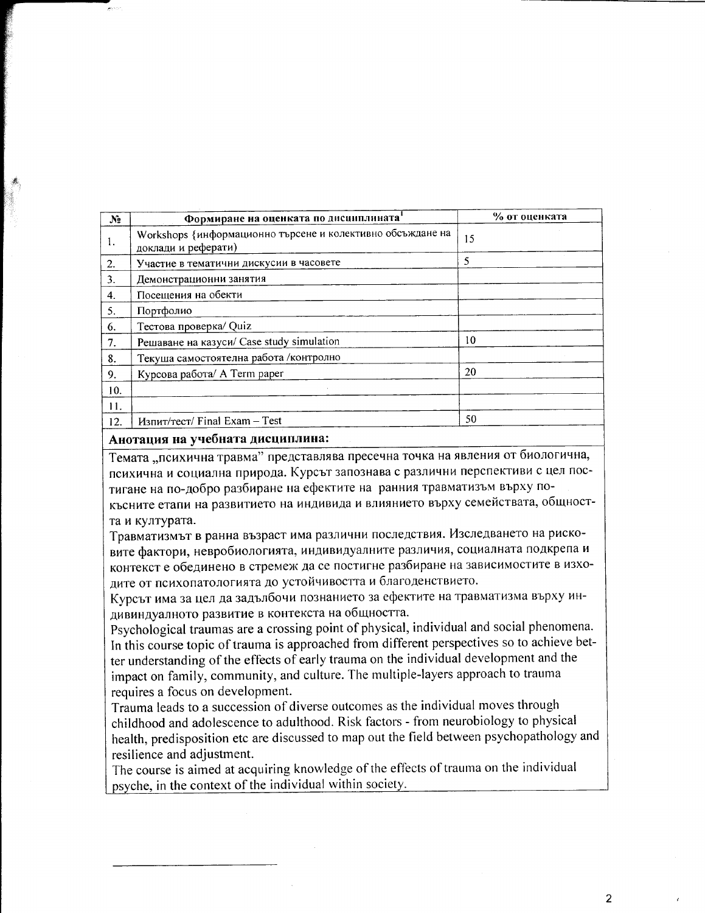| N <sub>2</sub> | Формиране на оценката по дисциплината                                             | % от оценката |
|----------------|-----------------------------------------------------------------------------------|---------------|
| 1.             | Workshops {информационно търсене и колективно обсъждане на<br>доклади и реферати) | 15            |
| 2.             | Участие в тематични дискусии в часовете                                           | 5             |
| 3.             | Демонстрационни занятия                                                           |               |
| 4.             | Посещения на обекти                                                               |               |
| 5.             | Портфолио                                                                         |               |
| 6.             | Тестова проверка/ Quiz                                                            |               |
| 7.             | Решаване на казуси/ Case study simulation                                         | 10            |
| 8.             | Текуша самостоятелна работа / контролно                                           |               |
| 9.             | Курсова работа/ A Term paper                                                      | 20            |
| 10.            |                                                                                   |               |
| 11.            |                                                                                   |               |
| 12.            | Изпит/тест/ Final Exam - Test                                                     | 50            |

#### Анотация на учебната дисциплина:

Темата "психична травма" представлява пресечна точка на явления от биологична, психична и социална природа. Курсът запознава с различни перспективи с цел постигане на по-добро разбиране на ефектите на ранния травматизъм върху покъсните етапи на развитието на индивида и влиянието върху семействата, общността и културата.

Травматизмът в ранна възраст има различни последствия. Изследването на рисковите фактори, невробиологията, индивидуалните различия, социалната подкрепа и контекст е обединено в стремеж да се постигне разбиране на зависимостите в изходите от психопатологията до устойчивостта и благоденствието.

Курсът има за цел да задълбочи познанието за ефектите на травматизма върху индивиндуалното развитие в контекста на общността.

Psychological traumas are a crossing point of physical, individual and social phenomena. In this course topic of trauma is approached from different perspectives so to achieve better understanding of the effects of early trauma on the individual development and the impact on family, community, and culture. The multiple-layers approach to trauma requires a focus on development.

Trauma leads to a succession of diverse outcomes as the individual moves through childhood and adolescence to adulthood. Risk factors - from neurobiology to physical health, predisposition etc are discussed to map out the field between psychopathology and resilience and adjustment.

The course is aimed at acquiring knowledge of the effects of trauma on the individual psyche, in the context of the individual within society.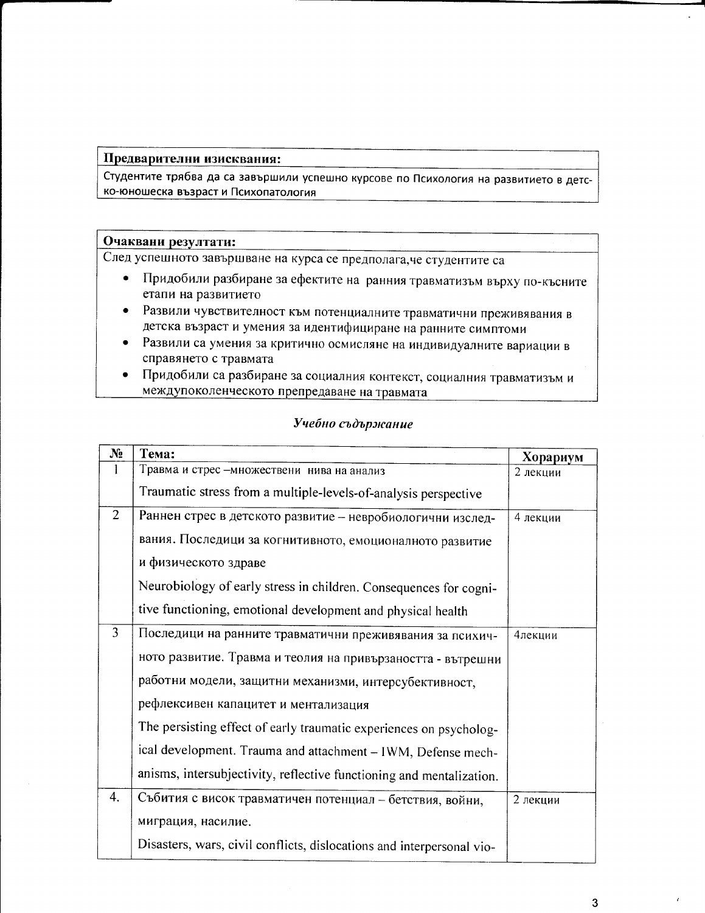#### Предварителни изисквания:

Студентите трябва да са завършили успешно курсове по Психология на развитието в детско-юношеска възраст и Психопатология

#### Очаквани резултати:

След успешното завършване на курса се предполага, че студентите са

- Придобили разбиране за ефектите на ранния травматизъм върху по-късните  $\bullet$ етапи на развитието
- Развили чувствителност към потенциалните травматични преживявания в детска възраст и умения за идентифициране на ранните симптоми
- Развили са умения за критично осмисляне на индивидуалните вариации в справянето с травмата
- Придобили са разбиране за социалния контекст, социалния травматизъм и междупоколенческото препредаване на травмата

#### Учебно съдържание

| $N_2$          | Тема:                                                                 | Хорариум |
|----------------|-----------------------------------------------------------------------|----------|
|                | Травма и стрес -множествени нива на анализ                            | 2 лекции |
|                | Traumatic stress from a multiple-levels-of-analysis perspective       |          |
| $\overline{2}$ | Раннен стрес в детското развитие - невробиологични изслед-            | 4 лекции |
|                | вания. Последици за когнитивното, емоционалното развитие              |          |
|                | и физическото здраве                                                  |          |
|                | Neurobiology of early stress in children. Consequences for cogni-     |          |
|                | tive functioning, emotional development and physical health           |          |
| 3              | Последици на ранните травматични преживявания за психич-              | 4лекции  |
|                | ното развитие. Травма и теолия на привързаността - вътрешни           |          |
|                | работни модели, защитни механизми, интерсубективност,                 |          |
|                | рефлексивен капацитет и ментализация                                  |          |
|                | The persisting effect of early traumatic experiences on psycholog-    |          |
|                | ical development. Trauma and attachment - IWM, Defense mech-          |          |
|                | anisms, intersubjectivity, reflective functioning and mentalization.  |          |
| 4.             | Събития с висок травматичен потенциал - бетствия, войни,              | 2 лекции |
|                | миграция, насилие.                                                    |          |
|                | Disasters, wars, civil conflicts, dislocations and interpersonal vio- |          |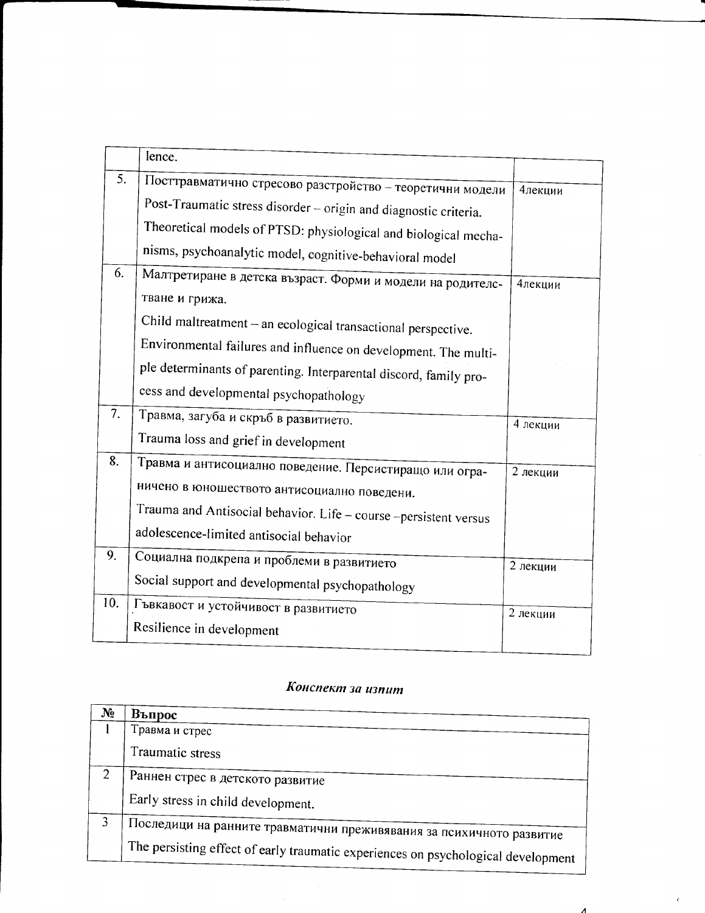| lence.                                           |                                                                                                                                                                                                                                                                                                                                                                                                                                                                                                                                                                                                                                                                                                                                                               |
|--------------------------------------------------|---------------------------------------------------------------------------------------------------------------------------------------------------------------------------------------------------------------------------------------------------------------------------------------------------------------------------------------------------------------------------------------------------------------------------------------------------------------------------------------------------------------------------------------------------------------------------------------------------------------------------------------------------------------------------------------------------------------------------------------------------------------|
|                                                  | 4лекции                                                                                                                                                                                                                                                                                                                                                                                                                                                                                                                                                                                                                                                                                                                                                       |
|                                                  |                                                                                                                                                                                                                                                                                                                                                                                                                                                                                                                                                                                                                                                                                                                                                               |
|                                                  |                                                                                                                                                                                                                                                                                                                                                                                                                                                                                                                                                                                                                                                                                                                                                               |
|                                                  |                                                                                                                                                                                                                                                                                                                                                                                                                                                                                                                                                                                                                                                                                                                                                               |
|                                                  | 4лекции                                                                                                                                                                                                                                                                                                                                                                                                                                                                                                                                                                                                                                                                                                                                                       |
| тване и грижа.                                   |                                                                                                                                                                                                                                                                                                                                                                                                                                                                                                                                                                                                                                                                                                                                                               |
|                                                  |                                                                                                                                                                                                                                                                                                                                                                                                                                                                                                                                                                                                                                                                                                                                                               |
|                                                  |                                                                                                                                                                                                                                                                                                                                                                                                                                                                                                                                                                                                                                                                                                                                                               |
|                                                  |                                                                                                                                                                                                                                                                                                                                                                                                                                                                                                                                                                                                                                                                                                                                                               |
| cess and developmental psychopathology           |                                                                                                                                                                                                                                                                                                                                                                                                                                                                                                                                                                                                                                                                                                                                                               |
| Травма, загуба и скръб в развитието.             | 4 лекции                                                                                                                                                                                                                                                                                                                                                                                                                                                                                                                                                                                                                                                                                                                                                      |
| Trauma loss and grief in development             |                                                                                                                                                                                                                                                                                                                                                                                                                                                                                                                                                                                                                                                                                                                                                               |
|                                                  | 2 лекции                                                                                                                                                                                                                                                                                                                                                                                                                                                                                                                                                                                                                                                                                                                                                      |
|                                                  |                                                                                                                                                                                                                                                                                                                                                                                                                                                                                                                                                                                                                                                                                                                                                               |
|                                                  |                                                                                                                                                                                                                                                                                                                                                                                                                                                                                                                                                                                                                                                                                                                                                               |
| adolescence-limited antisocial behavior          |                                                                                                                                                                                                                                                                                                                                                                                                                                                                                                                                                                                                                                                                                                                                                               |
|                                                  | 2 лекции                                                                                                                                                                                                                                                                                                                                                                                                                                                                                                                                                                                                                                                                                                                                                      |
| Social support and developmental psychopathology |                                                                                                                                                                                                                                                                                                                                                                                                                                                                                                                                                                                                                                                                                                                                                               |
| Гъвкавост и устойчивост в развитието             | 2 лекции                                                                                                                                                                                                                                                                                                                                                                                                                                                                                                                                                                                                                                                                                                                                                      |
| Resilience in development                        |                                                                                                                                                                                                                                                                                                                                                                                                                                                                                                                                                                                                                                                                                                                                                               |
|                                                  | Посттравматично стресово разстройство - теоретични модели<br>Post-Traumatic stress disorder - origin and diagnostic criteria.<br>Theoretical models of PTSD: physiological and biological mecha-<br>nisms, psychoanalytic model, cognitive-behavioral model<br>Малтретиране в детска възраст. Форми и модели на родителс-<br>Child maltreatment - an ecological transactional perspective.<br>Environmental failures and influence on development. The multi-<br>ple determinants of parenting. Interparental discord, family pro-<br>Травма и антисоциално поведение. Персистиращо или огра-<br>ничено в юношеството антисоциално поведени.<br>Trauma and Antisocial behavior. Life - course -persistent versus<br>Социална подкрепа и проблеми в развитието |

# Конспект за изпит

| Ng | Въпрос                                                                            |
|----|-----------------------------------------------------------------------------------|
|    | Травма и стрес                                                                    |
|    | Traumatic stress                                                                  |
| 2  | Раннен стрес в детското развитие                                                  |
|    | Early stress in child development.                                                |
| 3  |                                                                                   |
|    | Последици на ранните травматични преживявания за психичното развитие              |
|    | The persisting effect of early traumatic experiences on psychological development |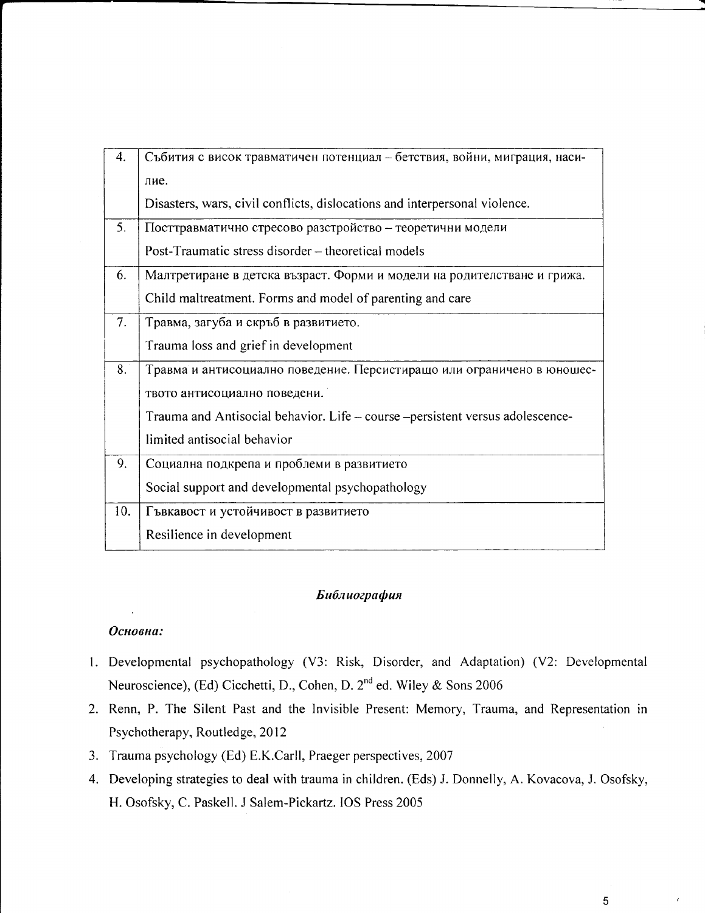| 4.  | Събития с висок травматичен потенциал - бетствия, войни, миграция, наси-       |
|-----|--------------------------------------------------------------------------------|
|     | лие.                                                                           |
|     | Disasters, wars, civil conflicts, dislocations and interpersonal violence.     |
| 5.  | Посттравматично стресово разстройство - теоретични модели                      |
|     | Post-Traumatic stress disorder – theoretical models                            |
| 6.  | Малтретиране в детска възраст. Форми и модели на родителстване и грижа.        |
|     | Child maltreatment. Forms and model of parenting and care                      |
| 7.  | Травма, загуба и скръб в развитието.                                           |
|     | Trauma loss and grief in development                                           |
| 8.  | Травма и антисоциално поведение. Персистиращо или ограничено в юношес-         |
|     | твото антисоциално поведени.                                                   |
|     | Trauma and Antisocial behavior. Life – course – persistent versus adolescence- |
|     | limited antisocial behavior                                                    |
| 9.  | Социална подкрепа и проблеми в развитието                                      |
|     | Social support and developmental psychopathology                               |
| 10. | Гъвкавост и устойчивост в развитието                                           |
|     | Resilience in development                                                      |

#### Библиография

#### Основна:

- 1. Developmental psychopathology (V3: Risk, Disorder, and Adaptation) (V2: Developmental Neuroscience), (Ed) Cicchetti, D., Cohen, D. 2<sup>nd</sup> ed. Wiley & Sons 2006
- 2. Renn, P. The Silent Past and the Invisible Present: Memory, Trauma, and Representation in Psychotherapy, Routledge, 2012
- 3. Trauma psychology (Ed) E.K.Carll, Praeger perspectives, 2007
- 4. Developing strategies to deal with trauma in children. (Eds) J. Donnelly, A. Kovacova, J. Osofsky, H. Osofsky, C. Paskell. J Salem-Pickartz. IOS Press 2005